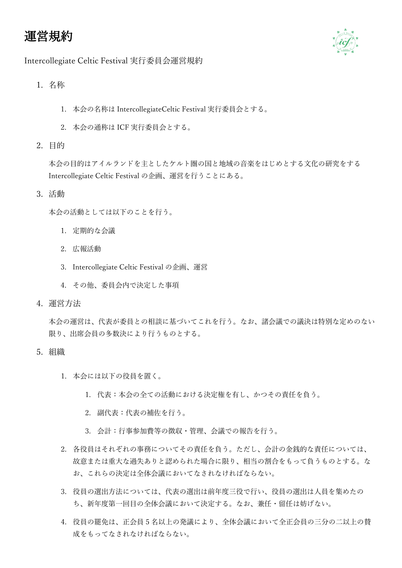# 運営規約



#### Intercollegiate Celtic Festival 実行委員会運営規約

- 1. 名称
	- 1. 本会の名称は IntercollegiateCeltic Festival 実行委員会とする。
	- 2. 本会の通称は ICF 実行委員会とする。
- 2. 目的

本会の目的はアイルランドを主としたケルト圏の国と地域の音楽をはじめとする文化の研究をする Intercollegiate Celtic Festival の企画、運営を行うことにある。

3. 活動

本会の活動としては以下のことを行う。

- 1. 定期的な会議
- 2. 広報活動
- 3. Intercollegiate Celtic Festival の企画、運営
- 4. その他、委員会内で決定した事項
- 4. 運営方法

本会の運営は、代表が委員との相談に基づいてこれを行う。なお、諸会議での議決は特別な定めのない 限り、出席会員の多数決により行うものとする。

- 5. 組織
	- 1. 本会には以下の役員を置く。
		- 1. 代表:本会の全ての活動における決定権を有し、かつその責任を負う。
		- 2. 副代表:代表の補佐を行う。
		- 3. 会計:行事参加費等の徴収・管理、会議での報告を行う。
	- 2. 各役員はそれぞれの事務についてその責任を負う。ただし、会計の金銭的な責任については、 故意または重大な過失ありと認められた場合に限り、相当の割合をもって負うものとする。な お、これらの決定は全体会議においてなされなければならない。
	- 3. 役員の選出方法については、代表の選出は前年度三役で行い、役員の選出は人員を集めたの ち、新年度第一回目の全体会議において決定する。なお、兼任・留任は妨げない。
	- 4. 役員の罷免は、正会員 5 名以上の発議により、全体会議において全正会員の三分の二以上の賛 成をもってなされなければならない。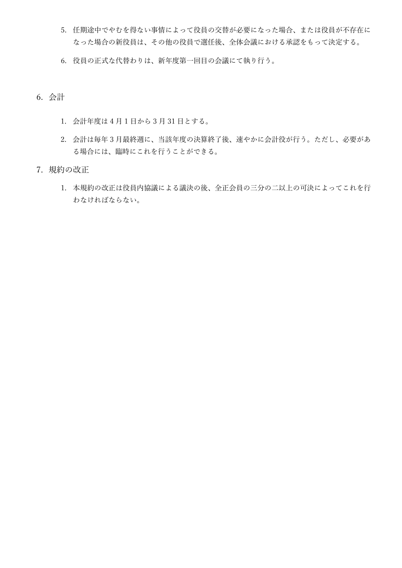- 5. 任期途中でやむを得ない事情によって役員の交替が必要になった場合、または役員が不存在に なった場合の新役員は、その他の役員で選任後、全体会議における承認をもって決定する。
- 6. 役員の正式な代替わりは、新年度第一回目の会議にて執り行う。
- 6. 会計
	- 1. 会計年度は 4 月 1 日から 3 月 31 日とする。
	- 2. 会計は毎年 3 月最終週に、当該年度の決算終了後、速やかに会計役が行う。ただし、必要があ る場合には、臨時にこれを行うことができる。
- 7. 規約の改正
	- 1. 本規約の改正は役員内協議による議決の後、全正会員の三分の二以上の可決によってこれを行 わなければならない。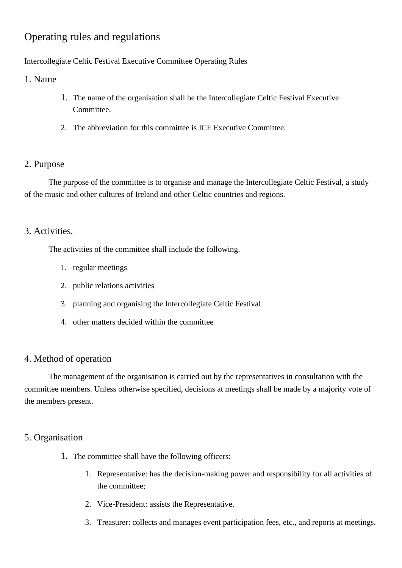# Operating rules and regulations

#### Intercollegiate Celtic Festival Executive Committee Operating Rules

1. Name

- 1. The name of the organisation shall be the Intercollegiate Celtic Festival Executive Committee.
- 2. The abbreviation for this committee is ICF Executive Committee.

### 2. Purpose

The purpose of the committee is to organise and manage the Intercollegiate Celtic Festival, a study of the music and other cultures of Ireland and other Celtic countries and regions.

### 3. Activities.

The activities of the committee shall include the following.

- 1. regular meetings
- 2. public relations activities
- 3. planning and organising the Intercollegiate Celtic Festival
- 4. other matters decided within the committee

### 4. Method of operation

The management of the organisation is carried out by the representatives in consultation with the committee members. Unless otherwise specified, decisions at meetings shall be made by a majority vote of the members present.

## 5. Organisation

- 1. The committee shall have the following officers:
	- 1. Representative: has the decision-making power and responsibility for all activities of the committee;
	- 2. Vice-President: assists the Representative.
	- 3. Treasurer: collects and manages event participation fees, etc., and reports at meetings.